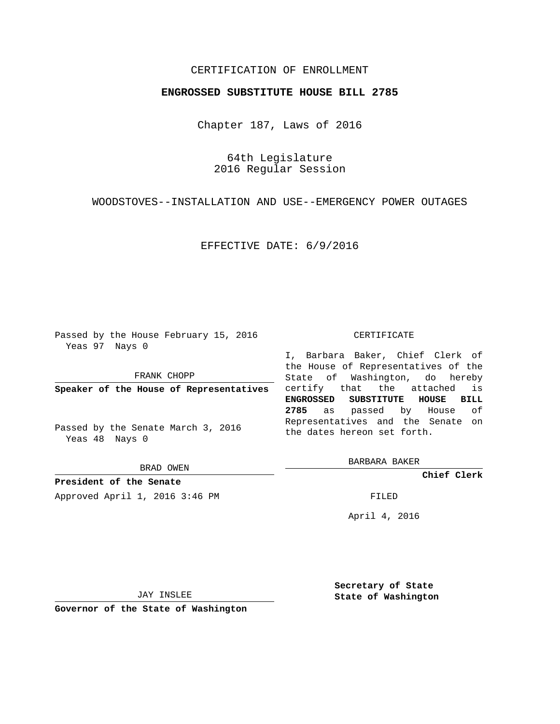## CERTIFICATION OF ENROLLMENT

## **ENGROSSED SUBSTITUTE HOUSE BILL 2785**

Chapter 187, Laws of 2016

64th Legislature 2016 Regular Session

WOODSTOVES--INSTALLATION AND USE--EMERGENCY POWER OUTAGES

EFFECTIVE DATE: 6/9/2016

Passed by the House February 15, 2016 Yeas 97 Nays 0

FRANK CHOPP

**Speaker of the House of Representatives**

Passed by the Senate March 3, 2016 Yeas 48 Nays 0

BRAD OWEN

**President of the Senate**

Approved April 1, 2016 3:46 PM FILED

## CERTIFICATE

I, Barbara Baker, Chief Clerk of the House of Representatives of the State of Washington, do hereby certify that the attached is **ENGROSSED SUBSTITUTE HOUSE BILL 2785** as passed by House of Representatives and the Senate on the dates hereon set forth.

BARBARA BAKER

**Chief Clerk**

April 4, 2016

JAY INSLEE

**Governor of the State of Washington**

**Secretary of State State of Washington**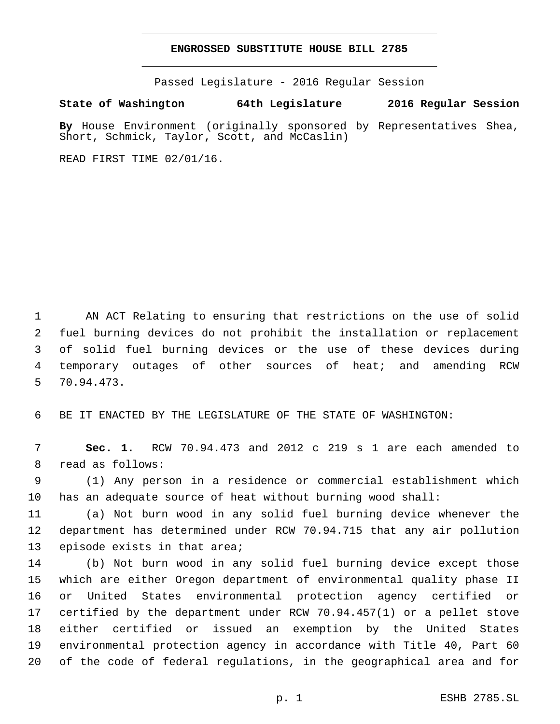## **ENGROSSED SUBSTITUTE HOUSE BILL 2785**

Passed Legislature - 2016 Regular Session

**State of Washington 64th Legislature 2016 Regular Session**

**By** House Environment (originally sponsored by Representatives Shea, Short, Schmick, Taylor, Scott, and McCaslin)

READ FIRST TIME 02/01/16.

 AN ACT Relating to ensuring that restrictions on the use of solid fuel burning devices do not prohibit the installation or replacement of solid fuel burning devices or the use of these devices during temporary outages of other sources of heat; and amending RCW 70.94.473.5

BE IT ENACTED BY THE LEGISLATURE OF THE STATE OF WASHINGTON:

 **Sec. 1.** RCW 70.94.473 and 2012 c 219 s 1 are each amended to 8 read as follows:

 (1) Any person in a residence or commercial establishment which has an adequate source of heat without burning wood shall:

 (a) Not burn wood in any solid fuel burning device whenever the department has determined under RCW 70.94.715 that any air pollution 13 episode exists in that area;

 (b) Not burn wood in any solid fuel burning device except those which are either Oregon department of environmental quality phase II or United States environmental protection agency certified or certified by the department under RCW 70.94.457(1) or a pellet stove either certified or issued an exemption by the United States environmental protection agency in accordance with Title 40, Part 60 of the code of federal regulations, in the geographical area and for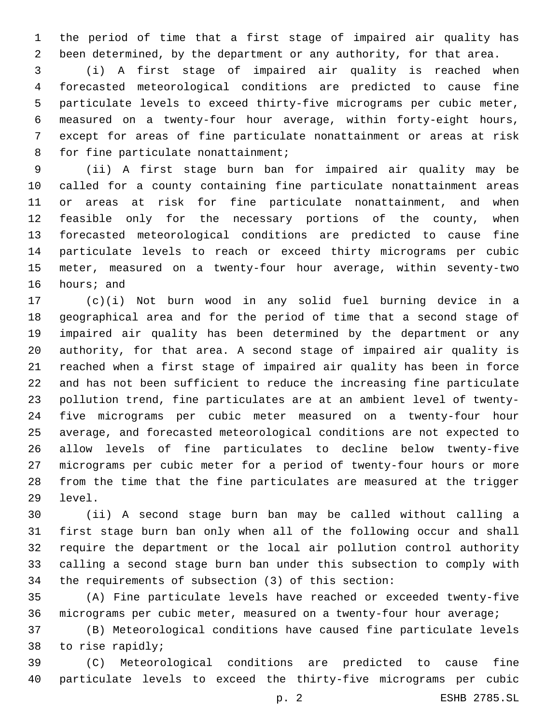the period of time that a first stage of impaired air quality has been determined, by the department or any authority, for that area.

 (i) A first stage of impaired air quality is reached when forecasted meteorological conditions are predicted to cause fine particulate levels to exceed thirty-five micrograms per cubic meter, measured on a twenty-four hour average, within forty-eight hours, except for areas of fine particulate nonattainment or areas at risk 8 for fine particulate nonattainment;

 (ii) A first stage burn ban for impaired air quality may be called for a county containing fine particulate nonattainment areas or areas at risk for fine particulate nonattainment, and when feasible only for the necessary portions of the county, when forecasted meteorological conditions are predicted to cause fine particulate levels to reach or exceed thirty micrograms per cubic meter, measured on a twenty-four hour average, within seventy-two 16 hours; and

 (c)(i) Not burn wood in any solid fuel burning device in a geographical area and for the period of time that a second stage of impaired air quality has been determined by the department or any authority, for that area. A second stage of impaired air quality is reached when a first stage of impaired air quality has been in force and has not been sufficient to reduce the increasing fine particulate pollution trend, fine particulates are at an ambient level of twenty- five micrograms per cubic meter measured on a twenty-four hour average, and forecasted meteorological conditions are not expected to allow levels of fine particulates to decline below twenty-five micrograms per cubic meter for a period of twenty-four hours or more from the time that the fine particulates are measured at the trigger 29 level.

 (ii) A second stage burn ban may be called without calling a first stage burn ban only when all of the following occur and shall require the department or the local air pollution control authority calling a second stage burn ban under this subsection to comply with the requirements of subsection (3) of this section:

 (A) Fine particulate levels have reached or exceeded twenty-five micrograms per cubic meter, measured on a twenty-four hour average;

 (B) Meteorological conditions have caused fine particulate levels 38 to rise rapidly;

 (C) Meteorological conditions are predicted to cause fine particulate levels to exceed the thirty-five micrograms per cubic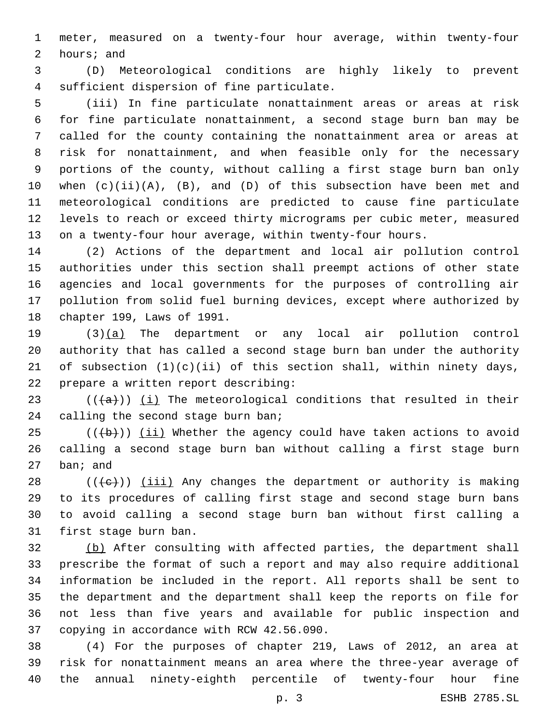meter, measured on a twenty-four hour average, within twenty-four 2 hours; and

 (D) Meteorological conditions are highly likely to prevent 4 sufficient dispersion of fine particulate.

 (iii) In fine particulate nonattainment areas or areas at risk for fine particulate nonattainment, a second stage burn ban may be called for the county containing the nonattainment area or areas at risk for nonattainment, and when feasible only for the necessary portions of the county, without calling a first stage burn ban only when (c)(ii)(A), (B), and (D) of this subsection have been met and meteorological conditions are predicted to cause fine particulate levels to reach or exceed thirty micrograms per cubic meter, measured on a twenty-four hour average, within twenty-four hours.

 (2) Actions of the department and local air pollution control authorities under this section shall preempt actions of other state agencies and local governments for the purposes of controlling air pollution from solid fuel burning devices, except where authorized by 18 chapter 199, Laws of 1991.

 (3)(a) The department or any local air pollution control authority that has called a second stage burn ban under the authority 21 of subsection  $(1)(c)(ii)$  of this section shall, within ninety days, 22 prepare a written report describing:

23  $((+a))$  (i) The meteorological conditions that resulted in their 24 calling the second stage burn ban;

 (( $\left(\frac{b}{b}\right)$ ) (ii) Whether the agency could have taken actions to avoid calling a second stage burn ban without calling a first stage burn ban; and

 (( $\leftarrow$ )) (iii) Any changes the department or authority is making to its procedures of calling first stage and second stage burn bans to avoid calling a second stage burn ban without first calling a 31 first stage burn ban.

 (b) After consulting with affected parties, the department shall prescribe the format of such a report and may also require additional information be included in the report. All reports shall be sent to the department and the department shall keep the reports on file for not less than five years and available for public inspection and 37 copying in accordance with RCW 42.56.090.

 (4) For the purposes of chapter 219, Laws of 2012, an area at risk for nonattainment means an area where the three-year average of the annual ninety-eighth percentile of twenty-four hour fine